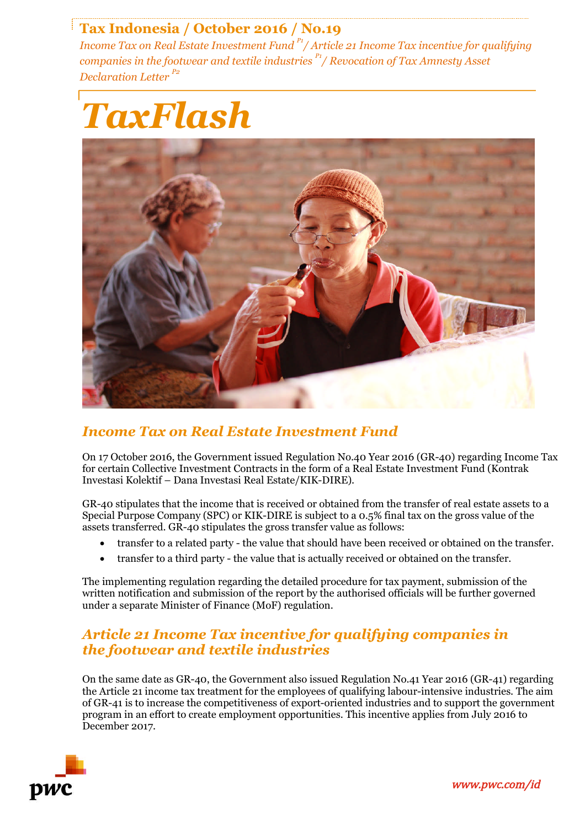# **Tax Indonesia / October 2016 / No.19**

*Income Tax on Real Estate Investment Fund P1/ Article 21 Income Tax incentive for qualifying companies in the footwear and textile industries P1/ Revocation of Tax Amnesty Asset Declaration Letter P2*



## *Income Tax on Real Estate Investment Fund*

On 17 October 2016, the Government issued Regulation No.40 Year 2016 (GR-40) regarding Income Tax for certain Collective Investment Contracts in the form of a Real Estate Investment Fund (Kontrak Investasi Kolektif – Dana Investasi Real Estate/KIK-DIRE).

GR-40 stipulates that the income that is received or obtained from the transfer of real estate assets to a Special Purpose Company (SPC) or KIK-DIRE is subject to a 0.5% final tax on the gross value of the assets transferred. GR-40 stipulates the gross transfer value as follows:

- transfer to a related party the value that should have been received or obtained on the transfer.
- transfer to a third party the value that is actually received or obtained on the transfer.

The implementing regulation regarding the detailed procedure for tax payment, submission of the written notification and submission of the report by the authorised officials will be further governed under a separate Minister of Finance (MoF) regulation.

#### *Article 21 Income Tax incentive for qualifying companies in the footwear and textile industries*

On the same date as GR-40, the Government also issued Regulation No.41 Year 2016 (GR-41) regarding the Article 21 income tax treatment for the employees of qualifying labour-intensive industries. The aim of GR-41 is to increase the competitiveness of export-oriented industries and to support the government program in an effort to create employment opportunities. This incentive applies from July 2016 to December 2017.



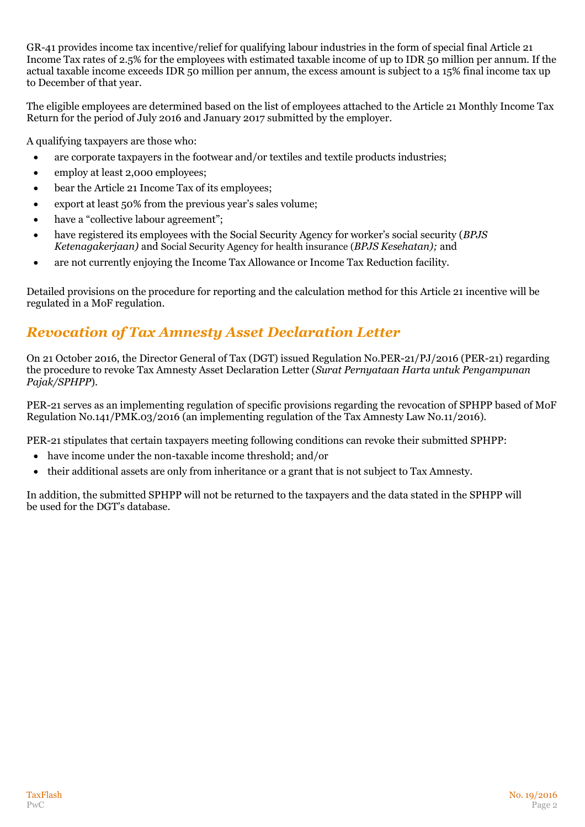GR-41 provides income tax incentive/relief for qualifying labour industries in the form of special final Article 21 Income Tax rates of 2.5% for the employees with estimated taxable income of up to IDR 50 million per annum. If the actual taxable income exceeds IDR 50 million per annum, the excess amount is subject to a 15% final income tax up to December of that year.

The eligible employees are determined based on the list of employees attached to the Article 21 Monthly Income Tax Return for the period of July 2016 and January 2017 submitted by the employer.

A qualifying taxpayers are those who:

- are corporate taxpayers in the footwear and/or textiles and textile products industries;
- employ at least 2,000 employees;
- bear the Article 21 Income Tax of its employees;
- export at least 50% from the previous year's sales volume;
- have a "collective labour agreement";
- have registered its employees with the Social Security Agency for worker's social security (*BPJS Ketenagakerjaan)* and Social Security Agency for health insurance (*BPJS Kesehatan);* and
- are not currently enjoying the Income Tax Allowance or Income Tax Reduction facility.

Detailed provisions on the procedure for reporting and the calculation method for this Article 21 incentive will be regulated in a MoF regulation.

### *Revocation of Tax Amnesty Asset Declaration Letter*

On 21 October 2016, the Director General of Tax (DGT) issued Regulation No.PER-21/PJ/2016 (PER-21) regarding the procedure to revoke Tax Amnesty Asset Declaration Letter (*Surat Pernyataan Harta untuk Pengampunan Pajak/SPHPP*).

PER-21 serves as an implementing regulation of specific provisions regarding the revocation of SPHPP based of MoF Regulation No.141/PMK.03/2016 (an implementing regulation of the Tax Amnesty Law No.11/2016).

PER-21 stipulates that certain taxpayers meeting following conditions can revoke their submitted SPHPP:

- have income under the non-taxable income threshold; and/or
- their additional assets are only from inheritance or a grant that is not subject to Tax Amnesty.

In addition, the submitted SPHPP will not be returned to the taxpayers and the data stated in the SPHPP will be used for the DGT's database.